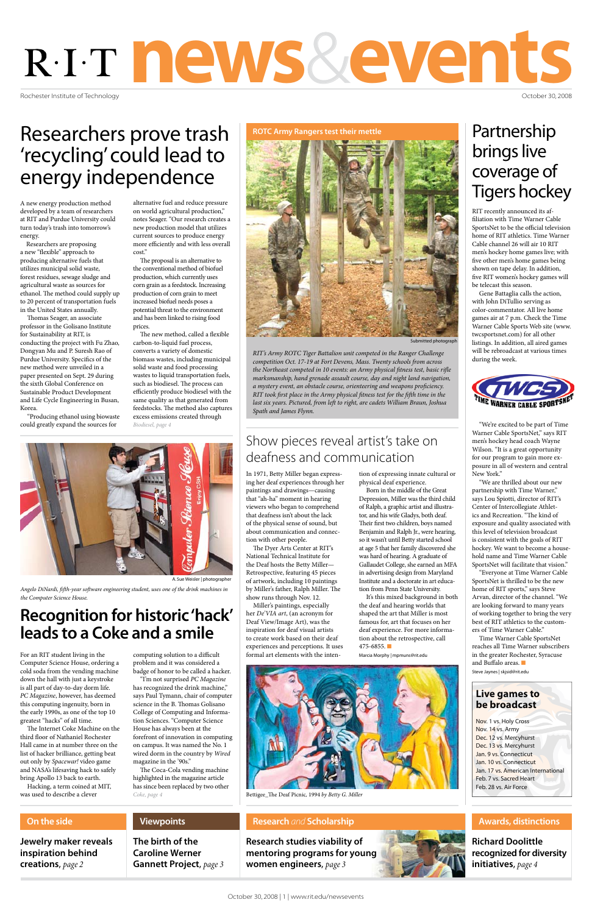Rochester Institute of Technology

# news&events

October 30, 2008

### **Live games to be broadcast**

Nov. 1 vs. Holy Cross Nov. 14 vs. Army Dec. 12 vs. Mercyhurst Dec. 13 vs. Mercyhurst Jan. 9 vs. Connecticut Jan. 10 vs. Connecticut Jan. 17 vs. American International Feb. 7 vs. Sacred Heart Feb. 28 vs. Air Force

**Research studies viability of mentoring programs for young women engineers**, *page 3*



### **Research** *and* **Scholarship**

**Jewelry maker reveals inspiration behind creations**, *page 2*

### **On the side**

**Richard Doolittle recognized for diversity initiatives**, *page 4*

### **Awards, distinctions**

**The birth of the Caroline Werner** 

**Gannett Project**, *page 3*

**Viewpoints**

RIT recently announced its affiliation with Time Warner Cable SportsNet to be the official television home of RIT athletics. Time Warner Cable channel 26 will air 10 RIT men's hockey home games live; with five other men's home games being shown on tape delay. In addition, five RIT women's hockey games will be telecast this season.

Time Warner Cable SportsNet reaches all Time Warner subscribers in the greater Rochester, Syracuse and Buffalo areas.  $\blacksquare$ 

Gene Battaglia calls the action, with John DiTullio serving as color-commentator. All live home games air at 7 p.m. Check the Time Warner Cable Sports Web site (www. twcsportsnet.com) for all other listings. In addition, all aired games will be rebroadcast at various times during the week.



"We're excited to be part of Time Warner Cable SportsNet," says RIT men's hockey head coach Wayne Wilson. "It is a great opportunity for our program to gain more exposure in all of western and central New York."

"We are thrilled about our new partnership with Time Warner," says Lou Spiotti, director of RIT's Center of Intercollegiate Athletics and Recreation. "The kind of exposure and quality associated with this level of television broadcast is consistent with the goals of RIT hockey. We want to become a household name and Time Warner Cable SportsNet will facilitate that vision."

It's this mixed background in both the deaf and hearing worlds that shaped the art that Miller is most famous for, art that focuses on her deaf experience. For more information about the retrospective, call  $475 - 6855$ .

"Everyone at Time Warner Cable SportsNet is thrilled to be the new home of RIT sports," says Steve Arvan, director of the channel. "We are looking forward to many years of working together to bring the very best of RIT athletics to the customers of Time Warner Cable."

For an RIT student living in the Computing solution to a difficult formal art elements with the inten-Marcia Morphy | mpmuns@rit.edu Computer Science House, ordering a cold soda from the vending machine down the hall with just a keystroke is all part of day-to-day dorm life. *PC Magazine*, however, has deemed this computing ingenuity, born in the early 1990s, as one of the top 10 greatest "hacks" of all time. The Internet Coke Machine on the third floor of Nathaniel Rochester Hall came in at number three on the list of hacker brilliance, getting beat out only by *Spacewar!* video game and NASA's lifesaving hack to safely bring Apollo 13 back to earth.

problem and it was considered a badge of honor to be called a hacker.

Steve Jaynes | skjsid@rit.edu

In 1971, Betty Miller began expressing her deaf experiences through her paintings and drawings—causing that "ah-ha" moment in hearing viewers who began to comprehend that deafness isn't about the lack of the physical sense of sound, but about communication and connection with other people.

The Dyer Arts Center at RIT's National Technical Institute for the Deaf hosts the Betty Miller— Retrospective, featuring 45 pieces of artwork, including 10 paintings by Miller's father, Ralph Miller. The show runs through Nov. 12.

Miller's paintings, especially her *De'VIA art*, (an acronym for Deaf View/Image Art), was the inspiration for deaf visual artists to create work based on their deaf experiences and perceptions. It uses formal art elements with the inten-

tion of expressing innate cultural or physical deaf experience.

Born in the middle of the Great Depression, Miller was the third child of Ralph, a graphic artist and illustrator, and his wife Gladys, both deaf. Their first two children, boys named Benjamin and Ralph Jr., were hearing, so it wasn't until Betty started school at age 5 that her family discovered she was hard of hearing. A graduate of Gallaudet College, she earned an MFA in advertising design from Maryland Institute and a doctorate in art education from Penn State University.

Hacking, a term coined at MIT, was used to describe a clever

"I'm not surprised *PC Magazine* has recognized the drink machine," says Paul Tymann, chair of computer science in the B. Thomas Golisano College of Computing and Information Sciences. "Computer Science House has always been at the forefront of innovation in computing on campus. It was named the No. 1 wired dorm in the country by *Wired* magazine in the '90s."

# **Recognition for historic 'hack' leads to a Coke and a smile**

# Partnership brings live coverage of Tigers hockey

# Show pieces reveal artist's take on deafness and communication



*the Northeast competed in 10 events: an Army physical fitness test, basic rifle marksmanship, hand grenade assault course, day and night land navigation, a mystery event, an obstacle course, orienteering and weapons proficiency. RIT took first place in the Army physical fitness test for the fifth time in the last six years. Pictured, from left to right, are cadets William Braun, Joshua Spath and James Flynn.* 

**ROTC Army Rangers test their mettle**



Bettigee\_The Deaf Picnic*,* 1994 *by Betty G. Miller*

*Angelo DiNardi, fifth-year software engineering student, uses one of the drink machines in the Computer Science House.*

A. Sue Weisler | photographer

# Researchers prove trash 'recycling' could lead to energy independence

A new energy production method developed by a team of researchers at RIT and Purdue University could turn today's trash into tomorrow's energy.

Researchers are proposing a new "flexible" approach to producing alternative fuels that utilizes municipal solid waste, forest residues, sewage sludge and agricultural waste as sources for ethanol. The method could supply up to 20 percent of transportation fuels in the United States annually.

> The Coca-Cola vending machine highlighted in the magazine article has since been replaced by two other *Coke, page 4*

Thomas Seager, an associate professor in the Golisano Institute for Sustainability at RIT, is conducting the project with Fu Zhao, Dongyan Mu and P. Suresh Rao of Purdue University. Specifics of the new method were unveiled in a paper presented on Sept. 29 during the sixth Global Conference on Sustainable Product Development and Life Cycle Engineering in Busan, Korea.

"Producing ethanol using biowaste could greatly expand the sources for

alternative fuel and reduce pressure on world agricultural production," notes Seager. "Our research creates a new production model that utilizes current sources to produce energy more efficiently and with less overall cost."

The proposal is an alternative to the conventional method of biofuel production, which currently uses corn grain as a feedstock. Increasing production of corn grain to meet increased biofuel needs poses a potential threat to the environment and has been linked to rising food prices.

The new method, called a flexible carbon-to-liquid fuel process, converts a variety of domestic biomass wastes, including municipal solid waste and food processing wastes to liquid transportation fuels, such as biodiesel. The process can efficiently produce biodiesel with the same quality as that generated from feedstocks. The method also captures excess emissions created through *Biodiesel, page 4*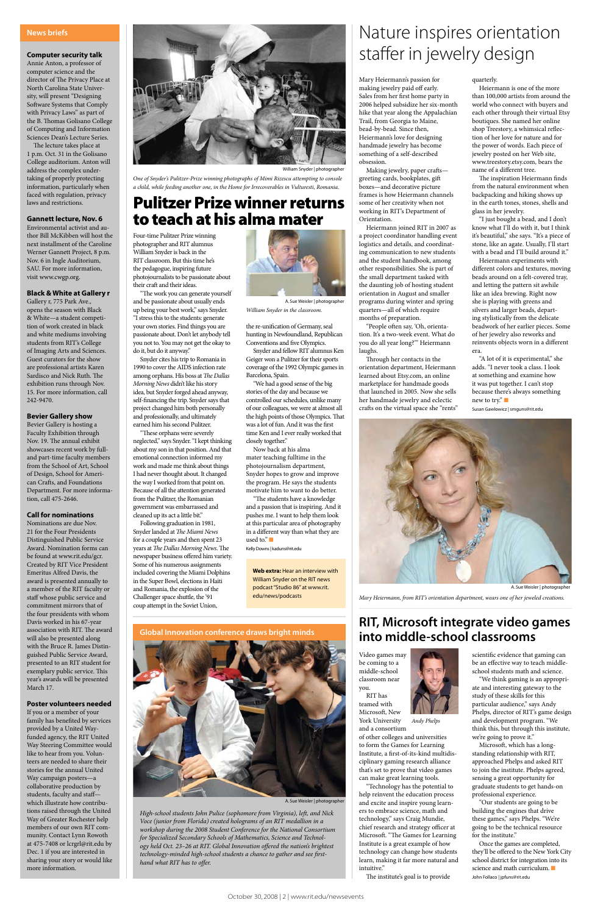Video games may be coming to a



middle-school classroom near you. RIT has

teamed with Microsoft, New

of other colleges and universities to form the Games for Learning Institute, a first-of-its-kind multidisciplinary gaming research alliance that's set to prove that video games can make great learning tools.

"Technology has the potential to help reinvent the education process and excite and inspire young learners to embrace science, math and technology," says Craig Mundie, chief research and strategy officer at Microsoft. "The Games for Learning Institute is a great example of how technology can change how students learn, making it far more natural and intuitive."

The institute's goal is to provide

scientific evidence that gaming can be an effective way to teach middleschool students math and science.

"We think gaming is an appropriate and interesting gateway to the study of these skills for this particular audience," says Andy Phelps, director of RIT's game design and development program. "We think this, but through this institute, we're going to prove it."

Microsoft, which has a longstanding relationship with RIT, approached Phelps and asked RIT to join the institute. Phelps agreed, sensing a great opportunity for graduate students to get hands-on professional experience.

"Our students are going to be building the engines that drive these games," says Phelps. "We're going to be the technical resource for the institute."

Once the games are completed, they'll be offered to the New York City school district for integration into its science and math curriculum.  $\blacksquare$ John Follaco | jpfuns@rit.edu

Mary Heiermann's passion for making jewelry paid off early. Sales from her first home party in 2006 helped subsidize her six-month hike that year along the Appalachian Trail, from Georgia to Maine, bead-by-bead. Since then, Heiermann's love for designing handmade jewelry has become something of a self-described obsession.

Making jewelry, paper crafts greeting cards, bookplates, gift boxes—and decorative picture frames is how Heiermann channels some of her creativity when not working in RIT's Department of Orientation.

Heiermann joined RIT in 2007 as a project coordinator handling event logistics and details, and coordinating communication to new students and the student handbook, among other responsibilities. She is part of the small department tasked with the daunting job of hosting student orientation in August and smaller programs during winter and spring quarters—all of which require months of preparation.

"People often say, 'Oh, orientation. It's a two-week event. What do you do all year long?'" Heiermann laughs.

Through her contacts in the orientation department, Heiermann learned about Etsy.com, an online marketplace for handmade goods that launched in 2005. Now she sells her handmade jewelry and eclectic crafts on the virtual space she "rents"

#### quarterly.

Heiermann is one of the more than 100,000 artists from around the world who connect with buyers and each other through their virtual Etsy boutiques. She named her online shop Treestory, a whimsical reflection of her love for nature and for the power of words. Each piece of jewelry posted on her Web site, www.treestory.etsy.com, bears the name of a different tree.

"The students have a knowledge and a passion that is inspiring. And it pushes me. I want to help them look at this particular area of photography in a different way than what they are used to." $\blacksquare$ 

The inspiration Heiermann finds from the natural environment when backpacking and hiking shows up in the earth tones, stones, shells and glass in her jewelry.

"I just bought a bead, and I don't know what I'll do with it, but I think it's beautiful," she says. "It's a piece of stone, like an agate. Usually, I'll start with a bead and I'll build around it."

Heiermann experiments with different colors and textures, moving beads around on a felt-covered tray, and letting the pattern sit awhile like an idea brewing. Right now she is playing with greens and silvers and larger beads, departing stylistically from the delicate beadwork of her earlier pieces. Some of her jewelry also reworks and reinvents objects worn in a different era.

"A lot of it is experimental," she adds. "I never took a class. I look at something and examine how it was put together. I can't stop because there's always something new to try." $\Box$ Susan Gawlowicz | smguns@rit.edu

Four-time Pulitzer Prize winning photographer and RIT alumnus William Snyder is back in the RIT classroom. But this time he's the pedagogue, inspiring future photojournalists to be passionate about their craft and their ideas.

"The work you can generate yourself and be passionate about usually ends up being your best work," says Snyder. "I stress this to the students: generate your own stories. Find things you are passionate about. Don't let anybody tell you not to. You may not get the okay to do it, but do it anyway."

Snyder cites his trip to Romania in 1990 to cover the AIDS infection rate among orphans. His boss at *The Dallas Morning News* didn't like his story idea, but Snyder forged ahead anyway, self-financing the trip. Snyder says that project changed him both personally and professionally, and ultimately earned him his second Pulitzer.

"These orphans were severely neglected," says Snyder. "I kept thinking about my son in that position. And that emotional connection informed my work and made me think about things I had never thought about. It changed the way I worked from that point on. Because of all the attention generated from the Pulitzer, the Romanian government was embarrassed and cleaned up its act a little bit."



Following graduation in 1981, Snyder landed at *The Miami News* for a couple years and then spent 23 years at *The Dallas Morning News*. The newspaper business offered him variety. Some of his numerous assignments included covering the Miami Dolphins in the Super Bowl, elections in Haiti and Romania, the explosion of the Challenger space shuttle, the '91 coup attempt in the Soviet Union,

the re-unification of Germany, seal hunting in Newfoundland, Republican Conventions and five Olympics.

Snyder and fellow RIT alumnus Ken Geiger won a Pulitzer for their sports coverage of the 1992 Olympic games in Barcelona, Spain.

"We had a good sense of the big stories of the day and because we controlled our schedules, unlike many of our colleagues, we were at almost all the high points of those Olympics. That was a lot of fun. And it was the first time Ken and I ever really worked that closely together."

Now back at his alma mater teaching fulltime in the photojournalism department, Snyder hopes to grow and improve the program. He says the students motivate him to want to do better.

Kelly Downs | kaduns@rit.edu

### **Computer security talk**

Annie Anton, a professor of computer science and the director of The Privacy Place at North Carolina State University, will present "Designing Software Systems that Comply with Privacy Laws" as part of the B. Thomas Golisano College of Computing and Information Sciences Dean's Lecture Series.

The lecture takes place at 1 p.m. Oct. 31 in the Golisano College auditorium. Anton will address the complex undertaking of properly protecting information, particularly when faced with regulation, privacy laws and restrictions.

### **Gannett lecture, Nov. 6**

Environmental activist and author Bill McKibben will host the next installment of the Caroline Werner Gannett Project, 8 p.m. Nov. 6 in Ingle Auditorium, SAU. For more information, visit www.cwgp.org.

#### **Black & White at Gallery r**

Gallery r, 775 Park Ave., opens the season with Black & White—a student competition of work created in black and white mediums involving students from RIT's College of Imaging Arts and Sciences. Guest curators for the show are professional artists Karen Sardisco and Nick Ruth. The exhibition runs through Nov. 15. For more information, call 242-9470.

#### **Bevier Gallery show**

Bevier Gallery is hosting a Faculty Exhibition through Nov. 19. The annual exhibit showcases recent work by fulland part-time faculty members from the School of Art, School of Design, School for American Crafts, and Foundations Department. For more information, call 475-2646.

#### **Call for nominations**

Nominations are due Nov. 21 for the Four Presidents Distinguished Public Service Award. Nomination forms can be found at www.rit.edu/gcr. Created by RIT Vice President Emeritus Alfred Davis, the award is presented annually to a member of the RIT faculty or staff whose public service and commitment mirrors that of the four presidents with whom Davis worked in his 67-year association with RIT. The award will also be presented along with the Bruce R. James Distinguished Public Service Award, presented to an RIT student for exemplary public service. This year's awards will be presented March 17.



William Snyder | photographe

### **Poster volunteers needed**

If you or a member of your family has benefited by services provided by a United Wayfunded agency, the RIT United Way Steering Committee would like to hear from you. Volunteers are needed to share their stories for the annual United Way campaign posters—a collaborative production by students, faculty and staff which illustrate how contributions raised through the United Way of Greater Rochester help members of our own RIT community. Contact Lynn Rowoth at 475-7408 or lcrgrl@rit.edu by Dec. 1 if you are interested in sharing your story or would like more information.

### **News briefs**

# Pulitzer Prize winner returns to teach at his alma mater

*One of Snyder's Pulitzer-Prize winning photographs of Mimi Rizescu attempting to console a child, while feeding another one, in the Home for Irrecoverables in Vulturesti, Romania.*

### **RIT, Microsoft integrate video games into middle-school classrooms**

# Nature inspires orientation staffer in jewelry design

*High-school students John Pulice (sophomore from Virginia), left, and Nick Voce (junior from Florida) created holograms of an RIT medallion in a workshop during the 2008 Student Conference for the National Consortium for Specialized Secondary Schools of Mathematics, Science and Technology held Oct. 23–26 at RIT. Global Innovation offered the nation's brightest technology-minded high-school students a chance to gather and see firsthand what RIT has to offer.*



A. Sue Weisler | photographer



*Mary Heiermann, from RIT's orientation department, wears one of her jeweled creations.* 





*William Snyder in the classroom.* A. Sue Weisler | photographer

**Web extra:** Hear an interview with William Snyder on the RIT news podcast "Studio 86" at www.rit. edu/news/podcasts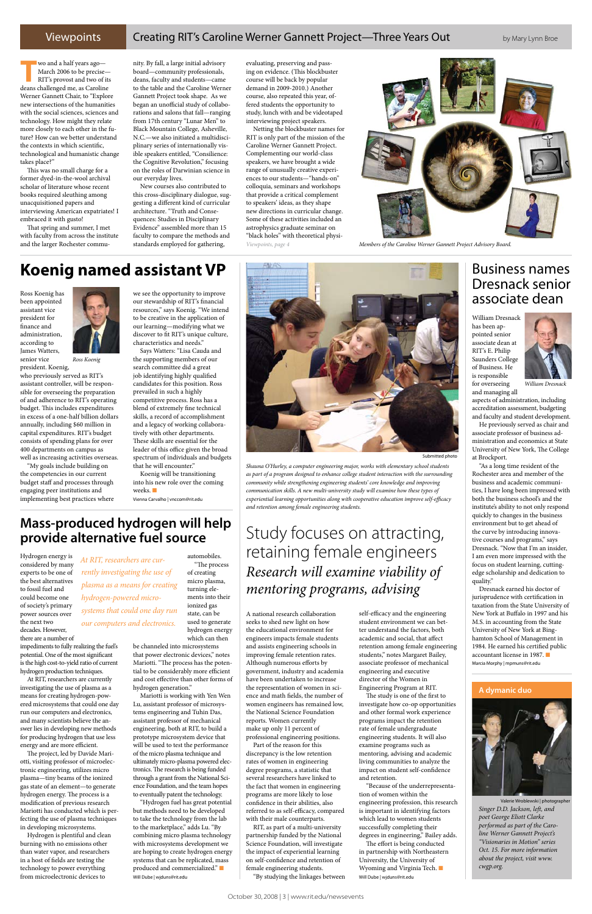### Viewpoints Creating RIT's Caroline Werner Gannett Project—Three Years Out by Mary Lynn Broe

Ross Koenig has been appointed assistant vice president for finance and administration, according to James Watters, senior vice

president. Koenig, who previously served as RIT's assistant controller, will be responsible for overseeing the preparation of and adherence to RIT's operating budget. This includes expenditures in excess of a one-half billion dollars annually, including \$60 million in capital expenditures. RIT's budget consists of spending plans for over 400 departments on campus as well as increasing activities overseas.

"My goals include building on the competencies in our current budget staff and processes through engaging peer institutions and implementing best practices where

Koenig will be transitioning into his new role over the coming weeks.

we see the opportunity to improve our stewardship of RIT's financial resources," says Koenig. "We intend to be creative in the application of our learning—modifying what we discover to fit RIT's unique culture, characteristics and needs."

Says Watters: "Lisa Cauda and the supporting members of our search committee did a great job identifying highly qualified candidates for this position. Ross prevailed in such a highly competitive process. Ross has a blend of extremely fine technical skills, a record of accomplishment and a legacy of working collaboratively with other departments. These skills are essential for the leader of this office given the broad spectrum of individuals and budgets that he will encounter."

Vienna Carvalho | vnccom@rit.edu

William Dresnack has been appointed senior associate dean at RIT's E. Philip Saunders College of Business. He is responsible for overseeing

and managing all

aspects of administration, including accreditation assessment, budgeting and faculty and student development.

He previously served as chair and associate professor of business administration and economics at State University of New York, The College at Brockport.

"As a long time resident of the Rochester area and member of the business and academic communities, I have long been impressed with both the business school's and the institute's ability to not only respond quickly to changes in the business environment but to get ahead of the curve by introducing innovative courses and programs," says Dresnack. "Now that I'm an insider, I am even more impressed with the focus on student learning, cuttingedge scholarship and dedication to quality."

Dresnack earned his doctor of jurisprudence with certification in taxation from the State University of New York at Buffalo in 1997 and his M.S. in accounting from the State University of New York at Binghamton School of Management in 1984. He earned his certified public accountant license in 1987.  $\Box$ Marcia Morphy | mpmuns@rit.edu

Hydrogen energy is considered by many experts to be one of the best alternatives to fossil fuel and could become one of society's primary power sources over the next two decades. However, there are a number of

impediments to fully realizing the fuel's potential. One of the most significant is the high cost-to-yield ratio of current hydrogen production techniques.

At RIT, researchers are currently investigating the use of plasma as a means for creating hydrogen-powered microsystems that could one day run our computers and electronics, and many scientists believe the answer lies in developing new methods for producing hydrogen that use less energy and are more efficient.

The project, led by Davide Mariotti, visiting professor of microelectronic engineering, utilizes micro plasma—tiny beams of the ionized gas state of an element—to generate hydrogen energy. The process is a modification of previous research Mariotti has conducted which is perfecting the use of plasma techniques in developing microsystems.

Hydrogen is plentiful and clean burning with no emissions other than water vapor, and researchers in a host of fields are testing the technology to power everything from microelectronic devices to

automobiles. "The process of creating micro plasma, turning elements into their ionized gas state, can be used to generate

hydrogen energy which can then be channeled into microsystems that power electronic devices," notes Mariotti. "The process has the potential to be considerably more efficient and cost effective than other forms of hydrogen generation." Mariotti is working with Yen Wen Lu, assistant professor of microsystems engineering and Tuhin Das, assistant professor of mechanical engineering, both at RIT, to build a prototype microsystem device that will be used to test the performance of the micro plasma technique and ultimately micro-plasma powered electronics. The research is being funded through a grant from the National Science Foundation, and the team hopes to eventually patent the technology. "Hydrogen fuel has great potential but methods need to be developed to take the technology from the lab to the marketplace," adds Lu. "By combining micro plasma technology with microsystems development we are hoping to create hydrogen energy systems that can be replicated, mass produced and commercialized." $\blacksquare$ Will Dube | wjduns@rit.edu

**Mass-produced hydrogen will help provide alternative fuel source** | Study focuses on attracting,

> A national research collaboration seeks to shed new light on how the educational environment for engineers impacts female students and assists engineering schools in improving female retention rates. Although numerous efforts by government, industry and academia have been undertaken to increase the representation of women in science and math fields, the number of women engineers has remained low, the National Science Foundation reports. Women currently make up only 11 percent of professional engineering positions. Part of the reason for this discrepancy is the low retention rates of women in engineering degree programs, a statistic that several researchers have linked to the fact that women in engineering programs are more likely to lose confidence in their abilities, also referred to as self-efficacy, compared with their male counterparts. RIT, as part of a multi-university partnership funded by the National Science Foundation, will investigate the impact of experiential learning on self-confidence and retention of female engineering students. "By studying the linkages between

self-efficacy and the engineering student environment we can better understand the factors, both academic and social, that affect retention among female engineering students," notes Margaret Bailey, associate professor of mechanical

engineering and executive director of the Women in Engineering Program at RIT.

The study is one of the first to investigate how co-op opportunities and other formal work experience programs impact the retention rate of female undergraduate engineering students. It will also examine programs such as mentoring, advising and academic living communities to analyze the impact on student self-confidence and retention.

"Because of the underrepresentation of women within the engineering profession, this research is important in identifying factors which lead to women students successfully completing their degrees in engineering," Bailey adds.

The effort is being conducted in partnership with Northeastern University, the University of Wyoming and Virginia Tech.  $\blacksquare$ Will Dube | wjduns@rit.edu

### **A dymanic duo**



**T**wo and a half years ago— March 2006 to be precise— RIT's provost and two of its deans challenged me, as Caroline Werner Gannett Chair, to "Explore new intersections of the humanities with the social sciences, sciences and technology. How might they relate more closely to each other in the future? How can we better understand the contexts in which scientific, technological and humanistic change takes place?"

This was no small charge for a former dyed-in-the-wool archival scholar of literature whose recent books required sleuthing among unacquisitioned papers and interviewing American expatriates! I embraced it with gusto!

That spring and summer, I met with faculty from across the institute and the larger Rochester community. By fall, a large initial advisory board—community professionals, deans, faculty and students—came to the table and the Caroline Werner Gannett Project took shape. As we began an unofficial study of collaborations and salons that fall—ranging from 17th century "Lunar Men" to Black Mountain College, Asheville, N.C.—we also initiated a multidisciplinary series of internationally visible speakers entitled, "Consilience: the Cognitive Revolution," focusing on the roles of Darwinian science in our everyday lives.

New courses also contributed to this cross-disciplinary dialogue, suggesting a different kind of curricular architecture. "Truth and Consequences: Studies in Disciplinary Evidence" assembled more than 15 faculty to compare the methods and standards employed for gathering,

evaluating, preserving and passing on evidence. (This blockbuster course will be back by popular demand in 2009-2010.) Another course, also repeated this year, offered students the opportunity to study, lunch with and be videotaped interviewing project speakers.

Netting the blockbuster names for RIT is only part of the mission of the Caroline Werner Gannett Project. Complementing our world-class speakers, we have brought a wide range of unusually creative experiences to our students—"hands-on" colloquia, seminars and workshops that provide a critical complement to speakers' ideas, as they shape new directions in curricular change. Some of these activities included an astrophysics graduate seminar on "black holes" with theoretical physi-



*William Dresnack*

# Dresnack senior associate dean

retaining female engineers *Research will examine viability of mentoring programs, advising*

> *Singer D.D. Jackson, left, and poet George Eliott Clarke performed as part of the Caroline Werner Gannett Project's "Visionaries in Motion" series Oct. 15. For more information about the project, visit www. cwgp.org.* Valerie Wroblewski | photographer

*Ross Koenig*

*Shauna O'Hurley, a computer engineering major, works with elementary school students as part of a program designed to enhance college student interaction with the surrounding community while strengthening engineering students' core knowledge and improving communication skills. A new multi-university study will examine how these types of experiential learning opportunities along with cooperative education improve self-efficacy and retention among female engineering students.*





*Viewpoints, page 4 Members of the Caroline Werner Gannett Project Advisory Board.* 

# **Koenig named assistant VP Business names Reserve the Executive Section 2 and 2 and 2 and 2 and 3 and 3 and 4 and 4 and 4 and 4 and 4 and 4 and 4 and 4 and 4 and 4 and 4 and 4 and 4 and 4 and 4 and 4 and 4 and 4 and 4**

*At RIT, researchers are currently investigating the use of plasma as a means for creating hydrogen-powered microsystems that could one day run our computers and electronics.*